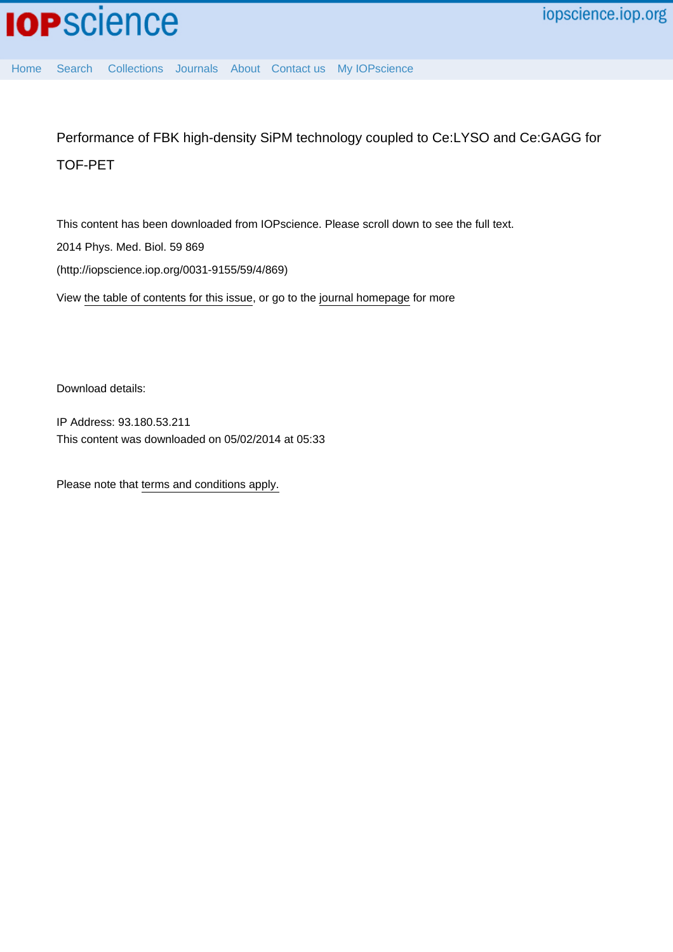[Home](http://iopscience.iop.org/) [Search](http://iopscience.iop.org/search) [Collections](http://iopscience.iop.org/collections) [Journals](http://iopscience.iop.org/journals) [About](http://iopscience.iop.org/page/aboutioppublishing) [Contact us](http://iopscience.iop.org/contact) [My IOPscience](http://iopscience.iop.org/myiopscience)

Performance of FBK high-density SiPM technology coupled to Ce:LYSO and Ce:GAGG for TOF-PET

This content has been downloaded from IOPscience. Please scroll down to see the full text. 2014 Phys. Med. Biol. 59 869 (http://iopscience.iop.org/0031-9155/59/4/869)

View [the table of contents for this issue](http://iopscience.iop.org/0031-9155/59/4), or go to the [journal homepage](http://iopscience.iop.org/0031-9155) for more

Download details:

IP Address: 93.180.53.211 This content was downloaded on 05/02/2014 at 05:33

Please note that [terms and conditions apply.](iopscience.iop.org/page/terms)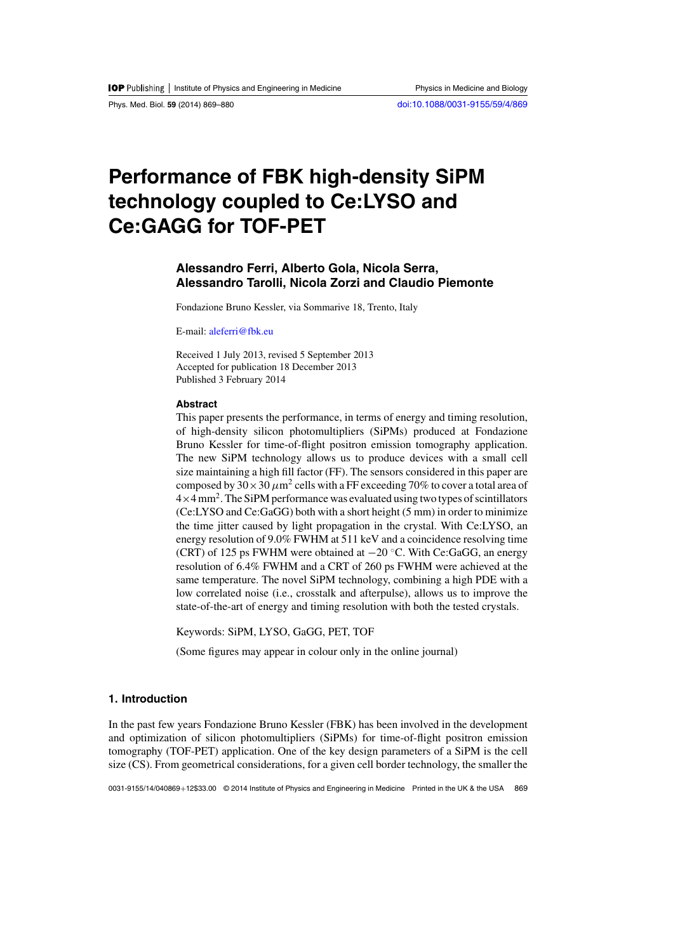# **Performance of FBK high-density SiPM technology coupled to Ce:LYSO and Ce:GAGG for TOF-PET**

# **Alessandro Ferri, Alberto Gola, Nicola Serra, Alessandro Tarolli, Nicola Zorzi and Claudio Piemonte**

Fondazione Bruno Kessler, via Sommarive 18, Trento, Italy

E-mail: [aleferri@fbk.eu](mailto:aleferri@fbk.eu)

Received 1 July 2013, revised 5 September 2013 Accepted for publication 18 December 2013 Published 3 February 2014

# **Abstract**

This paper presents the performance, in terms of energy and timing resolution, of high-density silicon photomultipliers (SiPMs) produced at Fondazione Bruno Kessler for time-of-flight positron emission tomography application. The new SiPM technology allows us to produce devices with a small cell size maintaining a high fill factor (FF). The sensors considered in this paper are composed by  $30 \times 30 \mu m^2$  cells with a FF exceeding 70% to cover a total area of  $4 \times 4$  mm<sup>2</sup>. The SiPM performance was evaluated using two types of scintillators (Ce:LYSO and Ce:GaGG) both with a short height (5 mm) in order to minimize the time jitter caused by light propagation in the crystal. With Ce:LYSO, an energy resolution of 9.0% FWHM at 511 keV and a coincidence resolving time (CRT) of 125 ps FWHM were obtained at  $-20$  °C. With Ce:GaGG, an energy resolution of 6.4% FWHM and a CRT of 260 ps FWHM were achieved at the same temperature. The novel SiPM technology, combining a high PDE with a low correlated noise (i.e., crosstalk and afterpulse), allows us to improve the state-of-the-art of energy and timing resolution with both the tested crystals.

Keywords: SiPM, LYSO, GaGG, PET, TOF

(Some figures may appear in colour only in the online journal)

# **1. Introduction**

In the past few years Fondazione Bruno Kessler (FBK) has been involved in the development and optimization of silicon photomultipliers (SiPMs) for time-of-flight positron emission tomography (TOF-PET) application. One of the key design parameters of a SiPM is the cell size (CS). From geometrical considerations, for a given cell border technology, the smaller the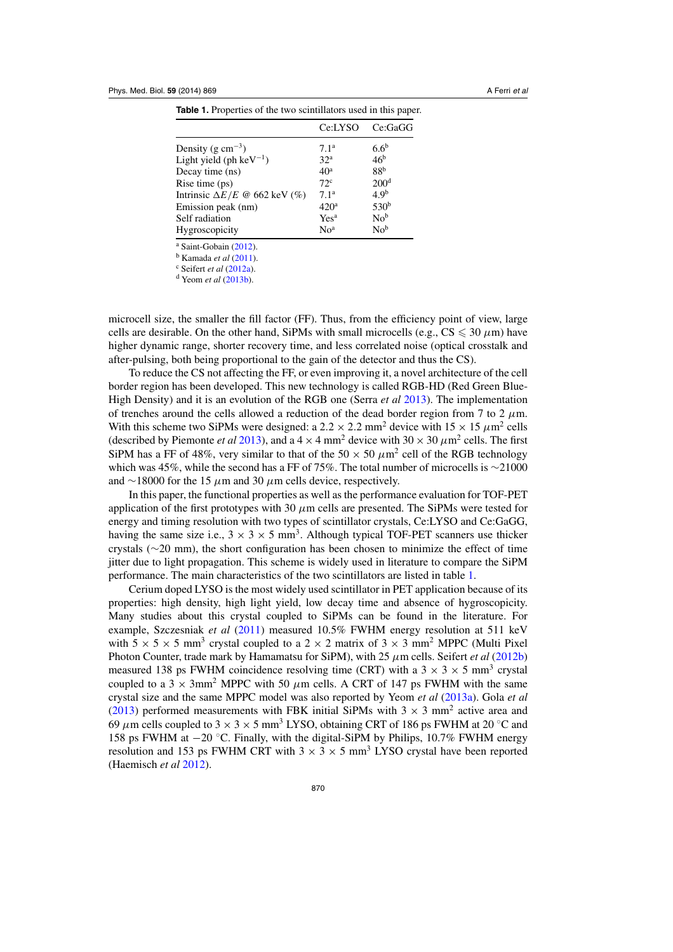|                                            | Ce:LYSO          | Ce:GaGG          |
|--------------------------------------------|------------------|------------------|
| Density (g $cm^{-3}$ )                     | 7.1 <sup>a</sup> | 6.6 <sup>b</sup> |
| Light yield (ph ke $V^{-1}$ )              | 32 <sup>a</sup>  | 46 <sup>b</sup>  |
| Decay time (ns)                            | 40 <sup>a</sup>  | 88 <sup>b</sup>  |
| Rise time (ps)                             | $72^{\circ}$     | 200 <sup>d</sup> |
| Intrinsic $\Delta E/E \otimes 662$ keV (%) | 7.1 <sup>a</sup> | 4.9 <sup>b</sup> |
| Emission peak (nm)                         | 420 <sup>a</sup> | 530 <sup>b</sup> |
| Self radiation                             | Yes <sup>a</sup> | No <sup>b</sup>  |
| Hygroscopicity                             | No <sup>a</sup>  | No <sup>b</sup>  |

**Table 1.** Properties of the two scintillators used in this paper.

<sup>a</sup> Saint-Gobain [\(2012](#page-12-0)).

<sup>b</sup> Kamada *et al* [\(2011\)](#page-12-0).

<sup>c</sup> Seifert *et al* [\(2012a\)](#page-12-0).

<sup>d</sup> Yeom *et al* [\(2013b\)](#page-12-0).

microcell size, the smaller the fill factor (FF). Thus, from the efficiency point of view, large cells are desirable. On the other hand, SiPMs with small microcells (e.g.,  $CS \leq 30 \ \mu m$ ) have higher dynamic range, shorter recovery time, and less correlated noise (optical crosstalk and after-pulsing, both being proportional to the gain of the detector and thus the CS).

To reduce the CS not affecting the FF, or even improving it, a novel architecture of the cell border region has been developed. This new technology is called RGB-HD (Red Green Blue-High Density) and it is an evolution of the RGB one (Serra *et al* [2013](#page-12-0)). The implementation of trenches around the cells allowed a reduction of the dead border region from 7 to 2  $\mu$ m. With this scheme two SiPMs were designed: a 2.2  $\times$  2.2 mm<sup>2</sup> device with 15  $\times$  15  $\mu$ m<sup>2</sup> cells (described by Piemonte *et al* [2013](#page-12-0)), and a  $4 \times 4$  mm<sup>2</sup> device with  $30 \times 30 \mu m^2$  cells. The first SiPM has a FF of 48%, very similar to that of the 50  $\times$  50  $\mu$ m<sup>2</sup> cell of the RGB technology which was 45%, while the second has a FF of 75%. The total number of microcells is ∼21000 and ∼18000 for the 15  $\mu$ m and 30  $\mu$ m cells device, respectively.

In this paper, the functional properties as well as the performance evaluation for TOF-PET application of the first prototypes with 30  $\mu$ m cells are presented. The SiPMs were tested for energy and timing resolution with two types of scintillator crystals, Ce:LYSO and Ce:GaGG, having the same size i.e.,  $3 \times 3 \times 5$  mm<sup>3</sup>. Although typical TOF-PET scanners use thicker crystals (∼20 mm), the short configuration has been chosen to minimize the effect of time jitter due to light propagation. This scheme is widely used in literature to compare the SiPM performance. The main characteristics of the two scintillators are listed in table 1.

Cerium doped LYSO is the most widely used scintillator in PET application because of its properties: high density, high light yield, low decay time and absence of hygroscopicity. Many studies about this crystal coupled to SiPMs can be found in the literature. For example, Szczesniak *et al* [\(2011\)](#page-12-0) measured 10.5% FWHM energy resolution at 511 keV with  $5 \times 5 \times 5$  mm<sup>3</sup> crystal coupled to a  $2 \times 2$  matrix of  $3 \times 3$  mm<sup>2</sup> MPPC (Multi Pixel Photon Counter, trade mark by Hamamatsu for SiPM), with 25 μm cells. Seifert *et al* [\(2012b](#page-12-0)) measured 138 ps FWHM coincidence resolving time (CRT) with a  $3 \times 3 \times 5$  mm<sup>3</sup> crystal coupled to a 3  $\times$  3mm<sup>2</sup> MPPC with 50  $\mu$ m cells. A CRT of 147 ps FWHM with the same crystal size and the same MPPC model was also reported by Yeom *et al* [\(2013a\)](#page-12-0). Gola *et al* [\(2013](#page-12-0)) performed measurements with FBK initial SiPMs with  $3 \times 3$  mm<sup>2</sup> active area and 69 μm cells coupled to  $3 \times 3 \times 5$  mm<sup>3</sup> LYSO, obtaining CRT of 186 ps FWHM at 20 °C and 158 ps FWHM at −20 ◦C. Finally, with the digital-SiPM by Philips, 10.7% FWHM energy resolution and 153 ps FWHM CRT with  $3 \times 3 \times 5$  mm<sup>3</sup> LYSO crystal have been reported (Haemisch *et al* [2012](#page-12-0)).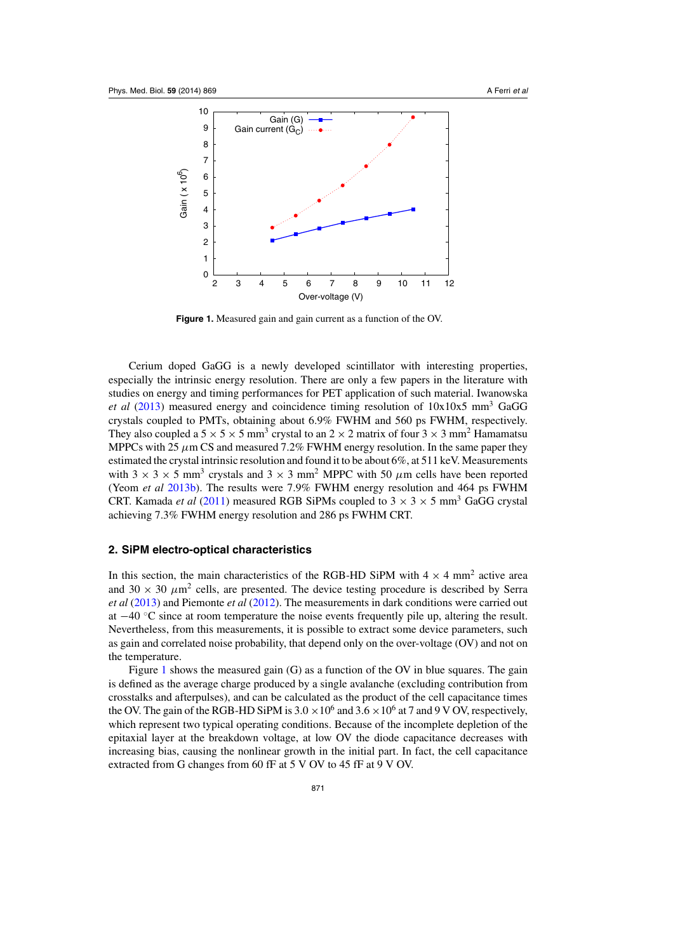<span id="page-3-0"></span>

**Figure 1.** Measured gain and gain current as a function of the OV.

Cerium doped GaGG is a newly developed scintillator with interesting properties, especially the intrinsic energy resolution. There are only a few papers in the literature with studies on energy and timing performances for PET application of such material. Iwanowska *et al* [\(2013](#page-12-0)) measured energy and coincidence timing resolution of 10x10x5 mm3 GaGG crystals coupled to PMTs, obtaining about 6.9% FWHM and 560 ps FWHM, respectively. They also coupled a  $5 \times 5 \times 5$  mm<sup>3</sup> crystal to an  $2 \times 2$  matrix of four  $3 \times 3$  mm<sup>2</sup> Hamamatsu MPPCs with 25  $\mu$ m CS and measured 7.2% FWHM energy resolution. In the same paper they estimated the crystal intrinsic resolution and found it to be about 6%, at 511 keV. Measurements with  $3 \times 3 \times 5$  mm<sup>3</sup> crystals and  $3 \times 3$  mm<sup>2</sup> MPPC with 50  $\mu$ m cells have been reported (Yeom *et al* [2013b](#page-12-0)). The results were 7.9% FWHM energy resolution and 464 ps FWHM CRT. Kamada *et al* [\(2011\)](#page-12-0) measured RGB SiPMs coupled to  $3 \times 3 \times 5$  mm<sup>3</sup> GaGG crystal achieving 7.3% FWHM energy resolution and 286 ps FWHM CRT.

# **2. SiPM electro-optical characteristics**

In this section, the main characteristics of the RGB-HD SiPM with  $4 \times 4$  mm<sup>2</sup> active area and 30  $\times$  30  $\mu$ m<sup>2</sup> cells, are presented. The device testing procedure is described by Serra *et al* [\(2013\)](#page-12-0) and Piemonte *et al* [\(2012](#page-12-0)). The measurements in dark conditions were carried out at −40 ◦C since at room temperature the noise events frequently pile up, altering the result. Nevertheless, from this measurements, it is possible to extract some device parameters, such as gain and correlated noise probability, that depend only on the over-voltage (OV) and not on the temperature.

Figure 1 shows the measured gain (G) as a function of the OV in blue squares. The gain is defined as the average charge produced by a single avalanche (excluding contribution from crosstalks and afterpulses), and can be calculated as the product of the cell capacitance times the OV. The gain of the RGB-HD SiPM is  $3.0 \times 10^6$  and  $3.6 \times 10^6$  at 7 and 9 V OV, respectively, which represent two typical operating conditions. Because of the incomplete depletion of the epitaxial layer at the breakdown voltage, at low OV the diode capacitance decreases with increasing bias, causing the nonlinear growth in the initial part. In fact, the cell capacitance extracted from G changes from 60 fF at 5 V OV to 45 fF at 9 V OV.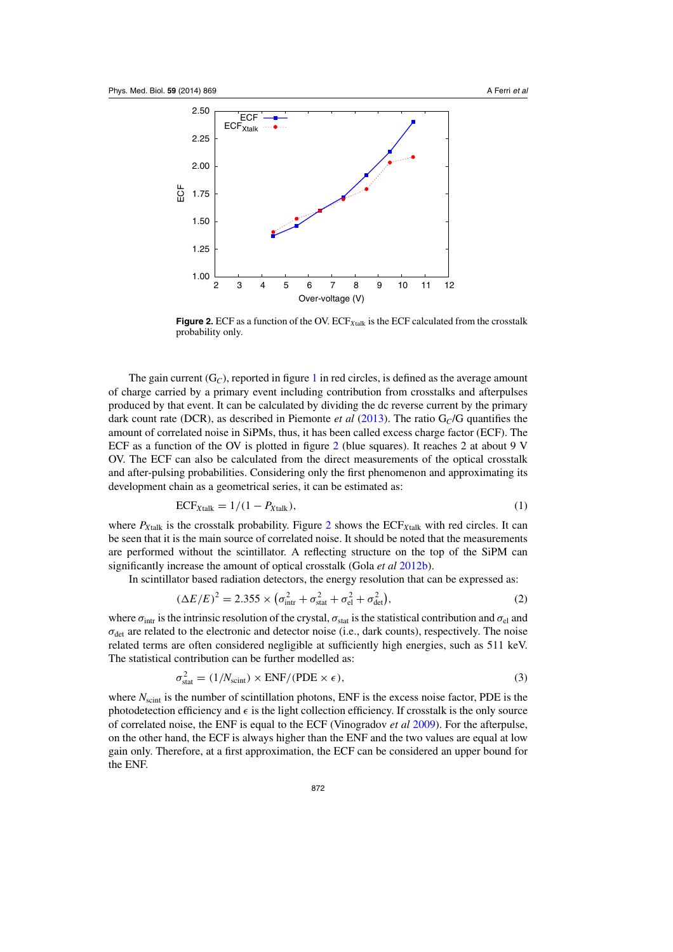<span id="page-4-0"></span>

**Figure 2.** ECF as a function of the OV.  $\text{ECF}_{X\text{talk}}$  is the ECF calculated from the crosstalk probability only.

The gain current  $(G_C)$ , reported in figure [1](#page-3-0) in red circles, is defined as the average amount of charge carried by a primary event including contribution from crosstalks and afterpulses produced by that event. It can be calculated by dividing the dc reverse current by the primary dark count rate (DCR), as described in Piemonte *et al* [\(2013](#page-12-0)). The ratio G*C*/G quantifies the amount of correlated noise in SiPMs, thus, it has been called excess charge factor (ECF). The ECF as a function of the OV is plotted in figure 2 (blue squares). It reaches 2 at about 9 V OV. The ECF can also be calculated from the direct measurements of the optical crosstalk and after-pulsing probabilities. Considering only the first phenomenon and approximating its development chain as a geometrical series, it can be estimated as:

$$
ECF_{Xtalk} = 1/(1 - P_{Xtalk}),\tag{1}
$$

where  $P_{X\text{talk}}$  is the crosstalk probability. Figure 2 shows the  $ECF_{X\text{talk}}$  with red circles. It can be seen that it is the main source of correlated noise. It should be noted that the measurements are performed without the scintillator. A reflecting structure on the top of the SiPM can significantly increase the amount of optical crosstalk (Gola *et al* [2012b](#page-12-0)).

In scintillator based radiation detectors, the energy resolution that can be expressed as:

$$
(\Delta E/E)^2 = 2.355 \times (\sigma_{\text{intr}}^2 + \sigma_{\text{stat}}^2 + \sigma_{\text{el}}^2 + \sigma_{\text{det}}^2),\tag{2}
$$

where  $\sigma_{\text{intr}}$  is the intrinsic resolution of the crystal,  $\sigma_{\text{stat}}$  is the statistical contribution and  $\sigma_{\text{el}}$  and  $\sigma_{\text{det}}$  are related to the electronic and detector noise (i.e., dark counts), respectively. The noise related terms are often considered negligible at sufficiently high energies, such as 511 keV. The statistical contribution can be further modelled as:

$$
\sigma_{\text{stat}}^2 = (1/N_{\text{scint}}) \times \text{ENF}/(\text{PDE} \times \epsilon),\tag{3}
$$

where  $N_{\text{scint}}$  is the number of scintillation photons, ENF is the excess noise factor, PDE is the photodetection efficiency and  $\epsilon$  is the light collection efficiency. If crosstalk is the only source of correlated noise, the ENF is equal to the ECF (Vinogradov *et al* [2009](#page-12-0)). For the afterpulse, on the other hand, the ECF is always higher than the ENF and the two values are equal at low gain only. Therefore, at a first approximation, the ECF can be considered an upper bound for the ENF.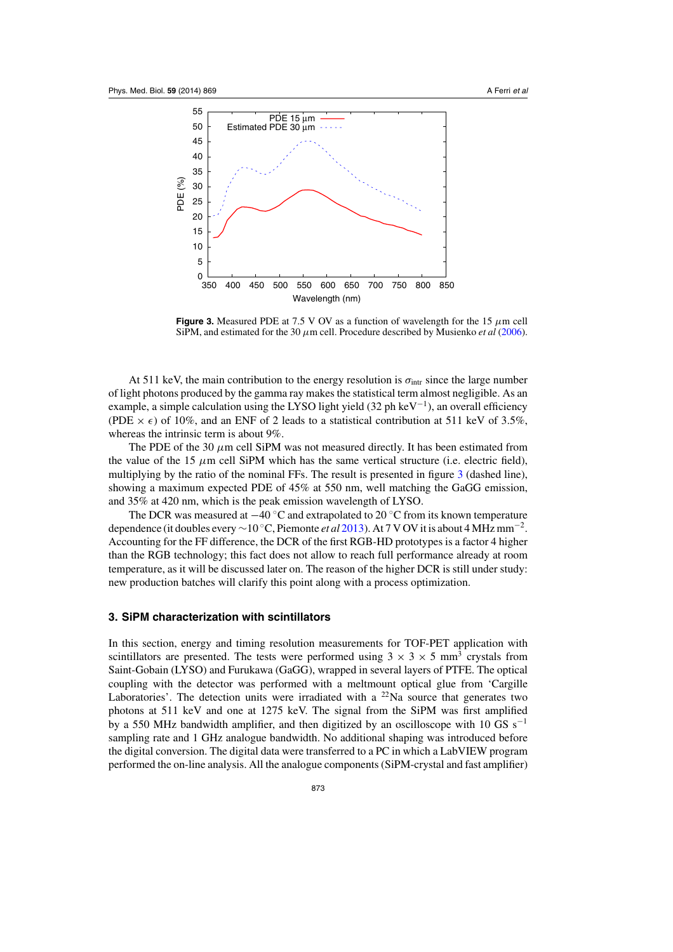

**Figure 3.** Measured PDE at 7.5 V OV as a function of wavelength for the 15  $\mu$ m cell SiPM, and estimated for the 30 μm cell. Procedure described by Musienko *et al* [\(2006](#page-12-0)).

At 511 keV, the main contribution to the energy resolution is  $\sigma_{\text{intr}}$  since the large number of light photons produced by the gamma ray makes the statistical term almost negligible. As an example, a simple calculation using the LYSO light yield (32 ph keV−1), an overall efficiency (PDE  $\times \epsilon$ ) of 10%, and an ENF of 2 leads to a statistical contribution at 511 keV of 3.5%, whereas the intrinsic term is about 9%.

The PDE of the 30  $\mu$ m cell SiPM was not measured directly. It has been estimated from the value of the 15  $\mu$ m cell SiPM which has the same vertical structure (i.e. electric field), multiplying by the ratio of the nominal FFs. The result is presented in figure 3 (dashed line), showing a maximum expected PDE of 45% at 550 nm, well matching the GaGG emission, and 35% at 420 nm, which is the peak emission wavelength of LYSO.

The DCR was measured at  $-40$  °C and extrapolated to 20 °C from its known temperature dependence (it doubles every <sup>∼</sup><sup>10</sup> ◦C, Piemonte *et al* [2013\)](#page-12-0). At 7 V OV it is about 4 MHz mm−2. Accounting for the FF difference, the DCR of the first RGB-HD prototypes is a factor 4 higher than the RGB technology; this fact does not allow to reach full performance already at room temperature, as it will be discussed later on. The reason of the higher DCR is still under study: new production batches will clarify this point along with a process optimization.

## **3. SiPM characterization with scintillators**

In this section, energy and timing resolution measurements for TOF-PET application with scintillators are presented. The tests were performed using  $3 \times 3 \times 5$  mm<sup>3</sup> crystals from Saint-Gobain (LYSO) and Furukawa (GaGG), wrapped in several layers of PTFE. The optical coupling with the detector was performed with a meltmount optical glue from 'Cargille Laboratories'. The detection units were irradiated with a  $^{22}$ Na source that generates two photons at 511 keV and one at 1275 keV. The signal from the SiPM was first amplified by a 550 MHz bandwidth amplifier, and then digitized by an oscilloscope with 10 GS s<sup>−1</sup> sampling rate and 1 GHz analogue bandwidth. No additional shaping was introduced before the digital conversion. The digital data were transferred to a PC in which a LabVIEW program performed the on-line analysis. All the analogue components (SiPM-crystal and fast amplifier)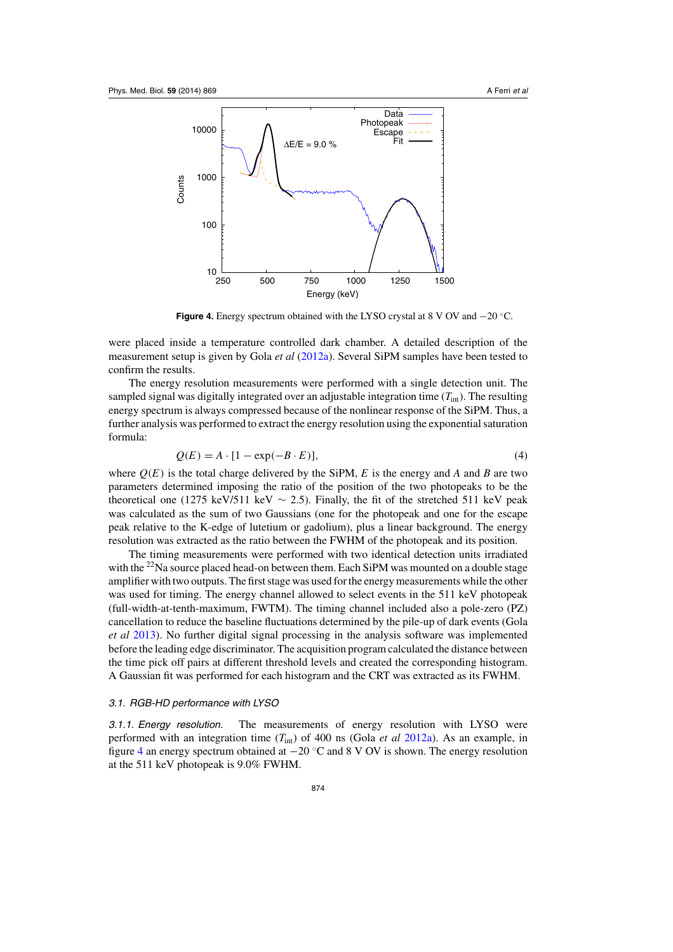

**Figure 4.** Energy spectrum obtained with the LYSO crystal at 8 V OV and −20 ◦C.

were placed inside a temperature controlled dark chamber. A detailed description of the measurement setup is given by Gola *et al* [\(2012a\)](#page-12-0). Several SiPM samples have been tested to confirm the results.

The energy resolution measurements were performed with a single detection unit. The sampled signal was digitally integrated over an adjustable integration time  $(T_{\text{int}})$ . The resulting energy spectrum is always compressed because of the nonlinear response of the SiPM. Thus, a further analysis was performed to extract the energy resolution using the exponential saturation formula:

$$
Q(E) = A \cdot [1 - \exp(-B \cdot E)], \tag{4}
$$

where  $Q(E)$  is the total charge delivered by the SiPM, *E* is the energy and *A* and *B* are two parameters determined imposing the ratio of the position of the two photopeaks to be the theoretical one (1275 keV/511 keV  $\sim$  2.5). Finally, the fit of the stretched 511 keV peak was calculated as the sum of two Gaussians (one for the photopeak and one for the escape peak relative to the K-edge of lutetium or gadolium), plus a linear background. The energy resolution was extracted as the ratio between the FWHM of the photopeak and its position.

The timing measurements were performed with two identical detection units irradiated with the  $^{22}$ Na source placed head-on between them. Each SiPM was mounted on a double stage amplifier with two outputs. The first stage was used for the energy measurements while the other was used for timing. The energy channel allowed to select events in the 511 keV photopeak (full-width-at-tenth-maximum, FWTM). The timing channel included also a pole-zero (PZ) cancellation to reduce the baseline fluctuations determined by the pile-up of dark events (Gola *et al* [2013\)](#page-12-0). No further digital signal processing in the analysis software was implemented before the leading edge discriminator. The acquisition program calculated the distance between the time pick off pairs at different threshold levels and created the corresponding histogram. A Gaussian fit was performed for each histogram and the CRT was extracted as its FWHM.

#### 3.1. RGB-HD performance with LYSO

3.1.1. Energy resolution. The measurements of energy resolution with LYSO were performed with an integration time (*T*int) of 400 ns (Gola *et al* [2012a\)](#page-12-0). As an example, in figure 4 an energy spectrum obtained at  $-20$  °C and 8 V OV is shown. The energy resolution at the 511 keV photopeak is 9.0% FWHM.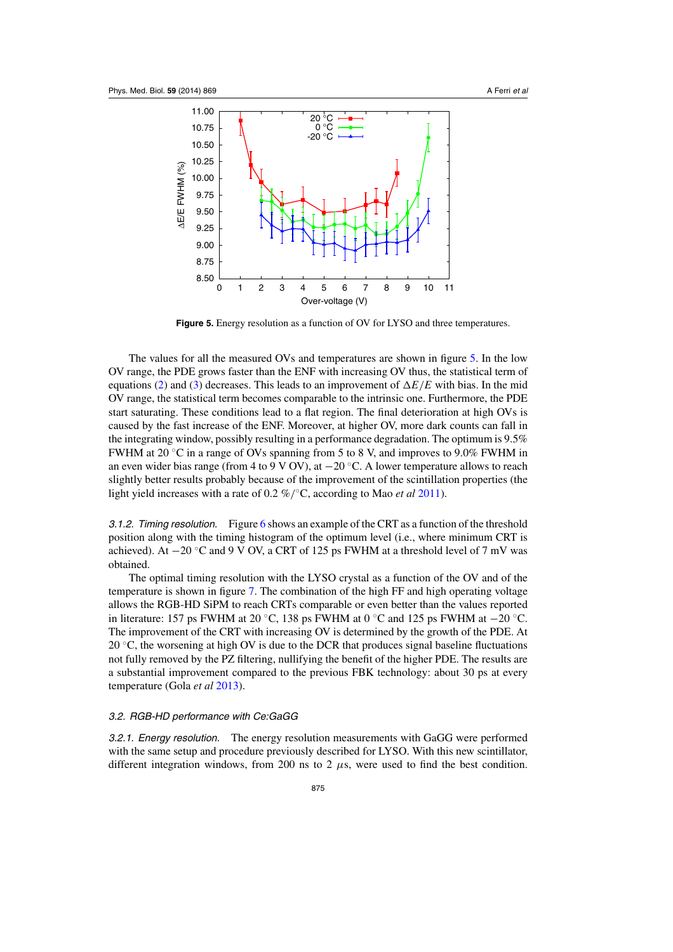

**Figure 5.** Energy resolution as a function of OV for LYSO and three temperatures.

The values for all the measured OVs and temperatures are shown in figure 5. In the low OV range, the PDE grows faster than the ENF with increasing OV thus, the statistical term of equations [\(2\)](#page-4-0) and [\(3\)](#page-4-0) decreases. This leads to an improvement of  $\Delta E/E$  with bias. In the mid OV range, the statistical term becomes comparable to the intrinsic one. Furthermore, the PDE start saturating. These conditions lead to a flat region. The final deterioration at high OVs is caused by the fast increase of the ENF. Moreover, at higher OV, more dark counts can fall in the integrating window, possibly resulting in a performance degradation. The optimum is 9.5% FWHM at 20  $\degree$ C in a range of OVs spanning from 5 to 8 V, and improves to 9.0% FWHM in an even wider bias range (from 4 to 9 V OV), at  $-20$  °C. A lower temperature allows to reach slightly better results probably because of the improvement of the scintillation properties (the light yield increases with a rate of 0.2 %/◦C, according to Mao *et al* [2011\)](#page-12-0).

3.1.2. Timing resolution. Figure [6](#page-8-0) shows an example of the CRT as a function of the threshold position along with the timing histogram of the optimum level (i.e., where minimum CRT is achieved). At  $-20$  °C and 9 V OV, a CRT of 125 ps FWHM at a threshold level of 7 mV was obtained.

The optimal timing resolution with the LYSO crystal as a function of the OV and of the temperature is shown in figure [7.](#page-8-0) The combination of the high FF and high operating voltage allows the RGB-HD SiPM to reach CRTs comparable or even better than the values reported in literature: 157 ps FWHM at 20 °C, 138 ps FWHM at 0 °C and 125 ps FWHM at  $-20$  °C. The improvement of the CRT with increasing OV is determined by the growth of the PDE. At 20  $\degree$ C, the worsening at high OV is due to the DCR that produces signal baseline fluctuations not fully removed by the PZ filtering, nullifying the benefit of the higher PDE. The results are a substantial improvement compared to the previous FBK technology: about 30 ps at every temperature (Gola *et al* [2013](#page-12-0)).

## 3.2. RGB-HD performance with Ce:GaGG

3.2.1. Energy resolution. The energy resolution measurements with GaGG were performed with the same setup and procedure previously described for LYSO. With this new scintillator, different integration windows, from 200 ns to 2  $\mu$ s, were used to find the best condition.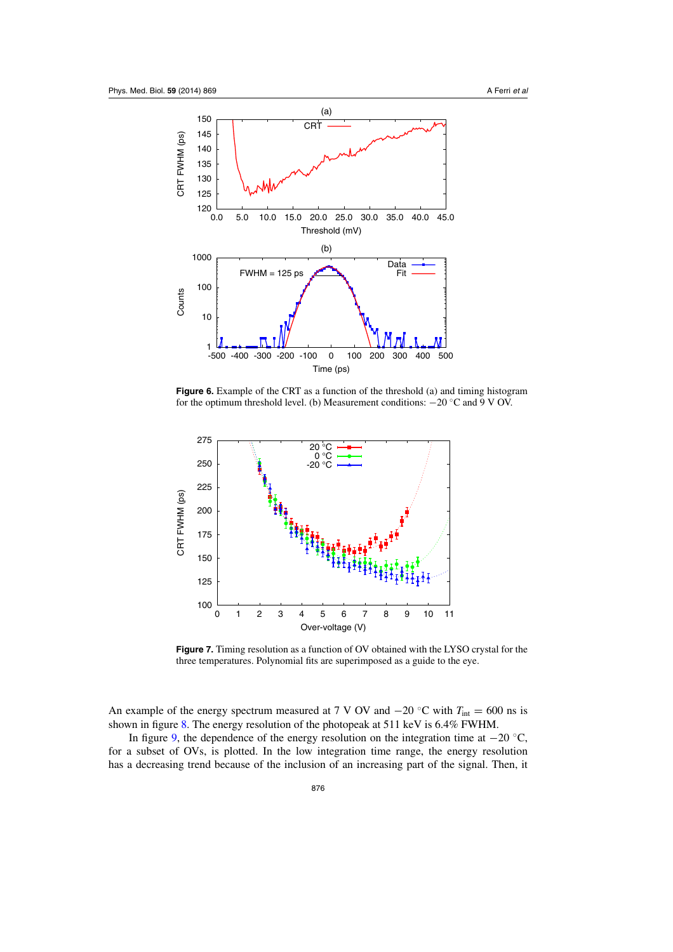<span id="page-8-0"></span>

**Figure 6.** Example of the CRT as a function of the threshold (a) and timing histogram for the optimum threshold level. (b) Measurement conditions: −20 ◦C and 9 V OV.



**Figure 7.** Timing resolution as a function of OV obtained with the LYSO crystal for the three temperatures. Polynomial fits are superimposed as a guide to the eye.

An example of the energy spectrum measured at 7 V OV and  $-20$  °C with  $T_{int} = 600$  ns is shown in figure [8.](#page-9-0) The energy resolution of the photopeak at 511 keV is 6.4% FWHM.

In figure [9,](#page-9-0) the dependence of the energy resolution on the integration time at  $-20$  °C, for a subset of OVs, is plotted. In the low integration time range, the energy resolution has a decreasing trend because of the inclusion of an increasing part of the signal. Then, it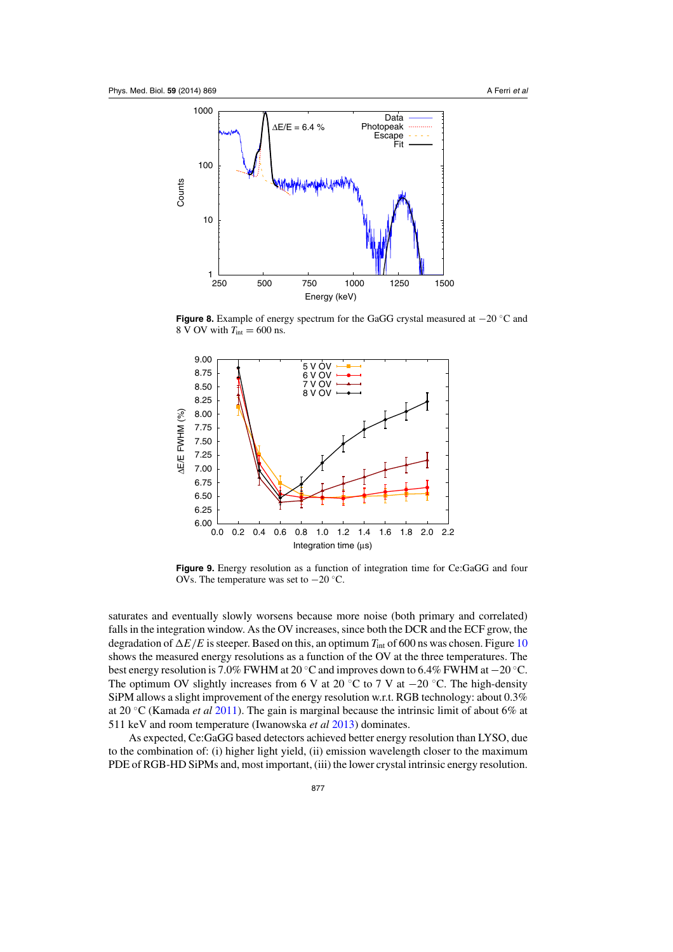<span id="page-9-0"></span>

**Figure 8.** Example of energy spectrum for the GaGG crystal measured at −20 ◦C and  $8 \text{ V}$  OV with  $T_{\text{int}} = 600 \text{ ns}$ .



**Figure 9.** Energy resolution as a function of integration time for Ce:GaGG and four OVs. The temperature was set to −20 ◦C.

saturates and eventually slowly worsens because more noise (both primary and correlated) falls in the integration window. As the OV increases, since both the DCR and the ECF grow, the degradation of  $\Delta E/E$  is steeper. Based on this, an optimum  $T_{\text{int}}$  of 600 ns was chosen. Figure [10](#page-10-0) shows the measured energy resolutions as a function of the OV at the three temperatures. The best energy resolution is 7.0% FWHM at 20 ◦C and improves down to 6.4% FWHM at −20 ◦C. The optimum OV slightly increases from 6 V at 20 °C to 7 V at  $-20$  °C. The high-density SiPM allows a slight improvement of the energy resolution w.r.t. RGB technology: about 0.3% at 20 ◦C (Kamada *et al* [2011](#page-12-0)). The gain is marginal because the intrinsic limit of about 6% at 511 keV and room temperature (Iwanowska *et al* [2013](#page-12-0)) dominates.

As expected, Ce:GaGG based detectors achieved better energy resolution than LYSO, due to the combination of: (i) higher light yield, (ii) emission wavelength closer to the maximum PDE of RGB-HD SiPMs and, most important, (iii) the lower crystal intrinsic energy resolution.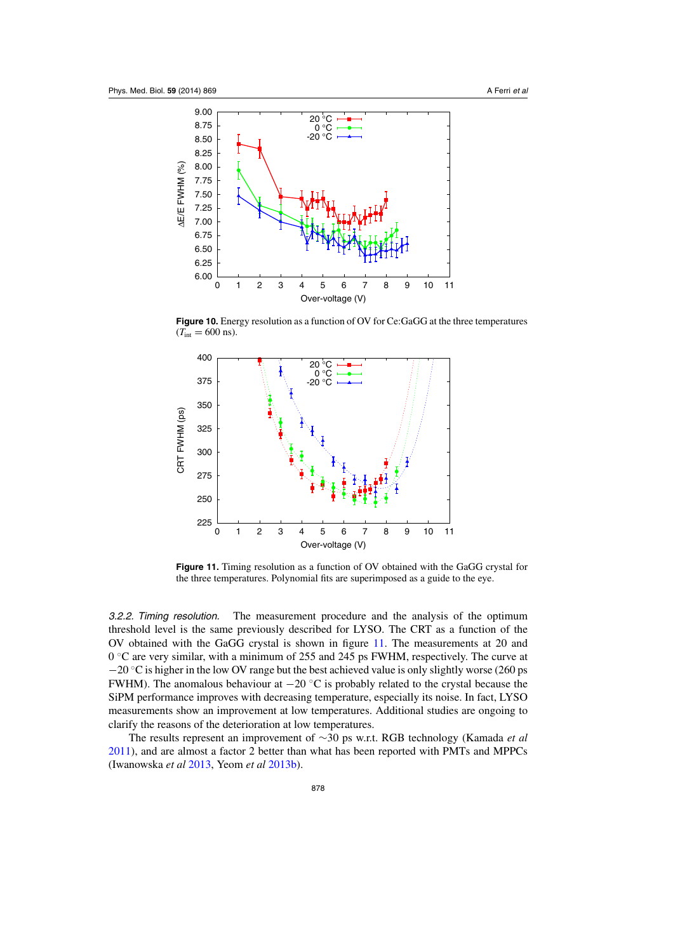<span id="page-10-0"></span>

**Figure 10.** Energy resolution as a function of OV for Ce:GaGG at the three temperatures  $(T_{\text{int}} = 600 \text{ ns}).$ 



**Figure 11.** Timing resolution as a function of OV obtained with the GaGG crystal for the three temperatures. Polynomial fits are superimposed as a guide to the eye.

3.2.2. Timing resolution. The measurement procedure and the analysis of the optimum threshold level is the same previously described for LYSO. The CRT as a function of the OV obtained with the GaGG crystal is shown in figure 11. The measurements at 20 and  $0 °C$  are very similar, with a minimum of 255 and 245 ps FWHM, respectively. The curve at −20 °C is higher in the low OV range but the best achieved value is only slightly worse (260 ps FWHM). The anomalous behaviour at −20 ◦C is probably related to the crystal because the SiPM performance improves with decreasing temperature, especially its noise. In fact, LYSO measurements show an improvement at low temperatures. Additional studies are ongoing to clarify the reasons of the deterioration at low temperatures.

The results represent an improvement of ∼30 ps w.r.t. RGB technology (Kamada *et al* [2011\)](#page-12-0), and are almost a factor 2 better than what has been reported with PMTs and MPPCs (Iwanowska *et al* [2013,](#page-12-0) Yeom *et al* [2013b](#page-12-0)).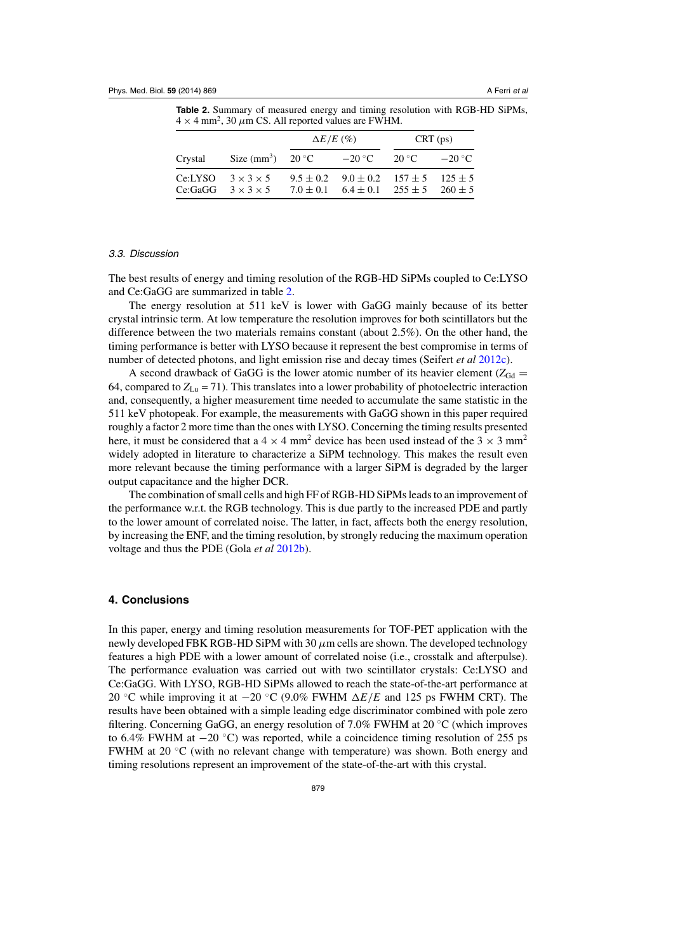**Table 2.** Summary of measured energy and timing resolution with RGB-HD SiPMs,  $4 \times 4$  mm<sup>2</sup>, 30  $\mu$ m CS. All reported values are FWHM.

|         |                                                                | $\Delta E/E$ (%) |                                                                                                            | CRT (ps)       |                |
|---------|----------------------------------------------------------------|------------------|------------------------------------------------------------------------------------------------------------|----------------|----------------|
| Crystal | Size $(mm^3)$ 20 °C                                            |                  | $-20\degree$ C                                                                                             | $20^{\circ}$ C | $-20\degree C$ |
|         | Ce:LYSO $3 \times 3 \times 5$<br>Ce:GaGG $3 \times 3 \times 5$ |                  | $9.5 \pm 0.2$ $9.0 \pm 0.2$ $157 \pm 5$ $125 \pm 5$<br>$7.0 \pm 0.1$ $6.4 \pm 0.1$ $255 \pm 5$ $260 \pm 5$ |                |                |

## 3.3. Discussion

The best results of energy and timing resolution of the RGB-HD SiPMs coupled to Ce:LYSO and Ce:GaGG are summarized in table 2.

The energy resolution at 511 keV is lower with GaGG mainly because of its better crystal intrinsic term. At low temperature the resolution improves for both scintillators but the difference between the two materials remains constant (about 2.5%). On the other hand, the timing performance is better with LYSO because it represent the best compromise in terms of number of detected photons, and light emission rise and decay times (Seifert *et al* [2012c\)](#page-12-0).

A second drawback of GaGG is the lower atomic number of its heavier element ( $Z_{Gd}$  = 64, compared to  $Z_{\text{Ln}} = 71$ ). This translates into a lower probability of photoelectric interaction and, consequently, a higher measurement time needed to accumulate the same statistic in the 511 keV photopeak. For example, the measurements with GaGG shown in this paper required roughly a factor 2 more time than the ones with LYSO. Concerning the timing results presented here, it must be considered that a  $4 \times 4$  mm<sup>2</sup> device has been used instead of the  $3 \times 3$  mm<sup>2</sup> widely adopted in literature to characterize a SiPM technology. This makes the result even more relevant because the timing performance with a larger SiPM is degraded by the larger output capacitance and the higher DCR.

The combination of small cells and high FF of RGB-HD SiPMs leads to an improvement of the performance w.r.t. the RGB technology. This is due partly to the increased PDE and partly to the lower amount of correlated noise. The latter, in fact, affects both the energy resolution, by increasing the ENF, and the timing resolution, by strongly reducing the maximum operation voltage and thus the PDE (Gola *et al* [2012b\)](#page-12-0).

# **4. Conclusions**

In this paper, energy and timing resolution measurements for TOF-PET application with the newly developed FBK RGB-HD SiPM with 30  $\mu$ m cells are shown. The developed technology features a high PDE with a lower amount of correlated noise (i.e., crosstalk and afterpulse). The performance evaluation was carried out with two scintillator crystals: Ce:LYSO and Ce:GaGG. With LYSO, RGB-HD SiPMs allowed to reach the state-of-the-art performance at 20 ◦C while improving it at −20 ◦C (9.0% FWHM -*E*/*E* and 125 ps FWHM CRT). The results have been obtained with a simple leading edge discriminator combined with pole zero filtering. Concerning GaGG, an energy resolution of 7.0% FWHM at 20 ◦C (which improves to 6.4% FWHM at  $-20$  °C) was reported, while a coincidence timing resolution of 255 ps FWHM at 20 ◦C (with no relevant change with temperature) was shown. Both energy and timing resolutions represent an improvement of the state-of-the-art with this crystal.